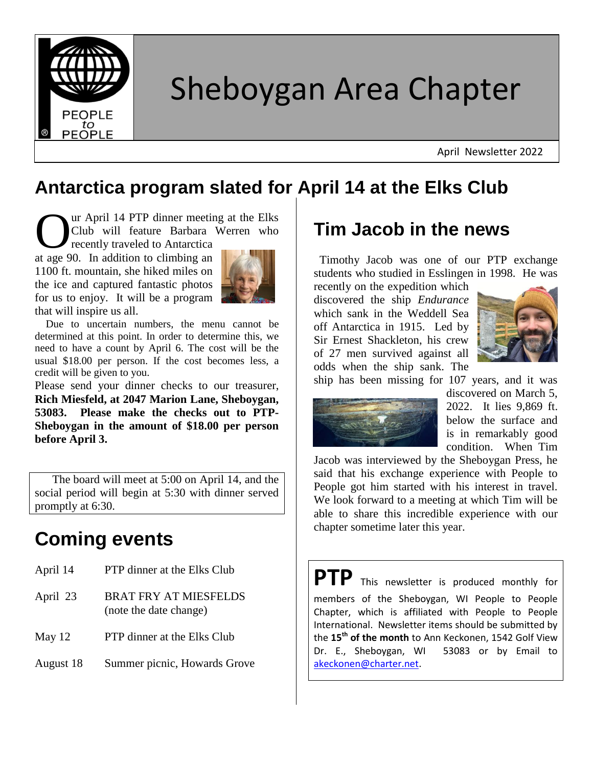

# Sheboygan Area Chapter

April Newsletter 2022

### **Antarctica program slated for April 14 at the Elks Club**

ur April 14 PTP dinner meeting at the Elks Club will feature Barbara Werren who UR Club will feature Barbara<br>
recently traveled to Antarctica<br>
at age 90. In addition to climbing an

recently traveled to Antarctica 1100 ft. mountain, she hiked miles on the ice and captured fantastic photos for us to enjoy. It will be a program that will inspire us all.



 Due to uncertain numbers, the menu cannot be determined at this point. In order to determine this, we need to have a count by April 6. The cost will be the usual \$18.00 per person. If the cost becomes less, a credit will be given to you.

Please send your dinner checks to our treasurer, **Rich Miesfeld, at 2047 Marion Lane, Sheboygan, 53083. Please make the checks out to PTP-Sheboygan in the amount of \$18.00 per person before April 3.**

 The board will meet at 5:00 on April 14, and the social period will begin at 5:30 with dinner served promptly at 6:30.

# **Coming events**

- April 14 PTP dinner at the Elks Club April 23 BRAT FRY AT MIESFELDS (note the date change) May 12 PTP dinner at the Elks Club
- August 18 Summer picnic, Howards Grove

## **Tim Jacob in the news**

 Timothy Jacob was one of our PTP exchange students who studied in Esslingen in 1998. He was

recently on the expedition which discovered the ship *Endurance* which sank in the Weddell Sea off Antarctica in 1915. Led by Sir Ernest Shackleton, his crew of 27 men survived against all odds when the ship sank. The



ship has been missing for 107 years, and it was



discovered on March 5, 2022. It lies 9,869 ft. below the surface and is in remarkably good condition. When Tim

Jacob was interviewed by the Sheboygan Press, he said that his exchange experience with People to People got him started with his interest in travel. We look forward to a meeting at which Tim will be able to share this incredible experience with our chapter sometime later this year.

**PTP** This newsletter is produced monthly for members of the Sheboygan, WI People to People Chapter, which is affiliated with People to People International. Newsletter items should be submitted by the **15th of the month** to Ann Keckonen, 1542 Golf View Dr. E., Sheboygan, WI 53083 or by Email to [akeckonen@charter.net.](mailto:akeckonen@charter.net)